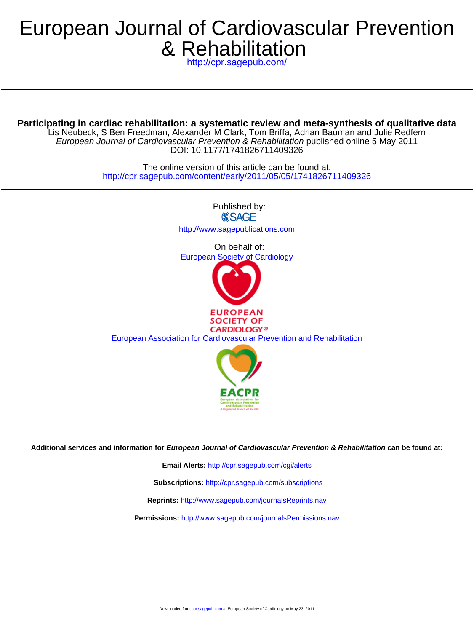# & Rehabilitation European Journal of Cardiovascular Prevention

<http://cpr.sagepub.com/>

DOI: 10.1177/1741826711409326 European Journal of Cardiovascular Prevention & Rehabilitation published online 5 May 2011 Lis Neubeck, S Ben Freedman, Alexander M Clark, Tom Briffa, Adrian Bauman and Julie Redfern **Participating in cardiac rehabilitation: a systematic review and meta-synthesis of qualitative data**

> <http://cpr.sagepub.com/content/early/2011/05/05/1741826711409326> The online version of this article can be found at:





**Additional services and information for European Journal of Cardiovascular Prevention & Rehabilitation can be found at:**

**Email Alerts:** <http://cpr.sagepub.com/cgi/alerts>

**Subscriptions:** <http://cpr.sagepub.com/subscriptions>

**Reprints:** <http://www.sagepub.com/journalsReprints.nav>

**Permissions:** <http://www.sagepub.com/journalsPermissions.nav>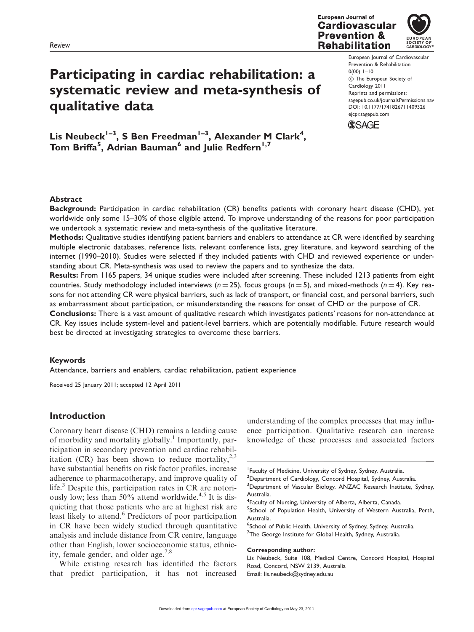# Participating in cardiac rehabilitation: a systematic review and meta-synthesis of qualitative data

Lis Neubeck $^{1-3}$ , S Ben Freedman $^{1-3}$ , Alexander M Clark $^4$ , Tom Briffa<sup>5</sup>, Adrian Bauman<sup>6</sup> and Julie Redfern<sup>1,7</sup>

**Prevention & Review <b>Rehabilitation C** European Journal of Cardiovascular Prevention & Rehabilitation 0(00) 1–10 (C) The European Society of Cardiology 2011 Reprints and permissions:

> sagepub.co.uk/journalsPermissions.nav DOI: 10.1177/1741826711409326



#### Abstract

Background: Participation in cardiac rehabilitation (CR) benefits patients with coronary heart disease (CHD), yet worldwide only some 15–30% of those eligible attend. To improve understanding of the reasons for poor participation we undertook a systematic review and meta-synthesis of the qualitative literature.

Methods: Qualitative studies identifying patient barriers and enablers to attendance at CR were identified by searching multiple electronic databases, reference lists, relevant conference lists, grey literature, and keyword searching of the internet (1990–2010). Studies were selected if they included patients with CHD and reviewed experience or understanding about CR. Meta-synthesis was used to review the papers and to synthesize the data.

Results: From 1165 papers, 34 unique studies were included after screening. These included 1213 patients from eight countries. Study methodology included interviews ( $n = 25$ ), focus groups ( $n = 5$ ), and mixed-methods ( $n = 4$ ). Key reasons for not attending CR were physical barriers, such as lack of transport, or financial cost, and personal barriers, such as embarrassment about participation, or misunderstanding the reasons for onset of CHD or the purpose of CR.

Conclusions: There is a vast amount of qualitative research which investigates patients' reasons for non-attendance at CR. Key issues include system-level and patient-level barriers, which are potentially modifiable. Future research would best be directed at investigating strategies to overcome these barriers.

#### Keywords

Attendance, barriers and enablers, cardiac rehabilitation, patient experience

Received 25 January 2011; accepted 12 April 2011

# Introduction

Coronary heart disease (CHD) remains a leading cause of morbidity and mortality globally.<sup>1</sup> Importantly, participation in secondary prevention and cardiac rehabilitation (CR) has been shown to reduce mortality,<sup>2,3</sup> have substantial benefits on risk factor profiles, increase adherence to pharmacotherapy, and improve quality of life. $3$  Despite this, participation rates in CR are notoriously low; less than  $50\%$  attend worldwide.<sup>4,5</sup> It is disquieting that those patients who are at highest risk are least likely to attend.<sup>6</sup> Predictors of poor participation in CR have been widely studied through quantitative analysis and include distance from CR centre, language other than English, lower socioeconomic status, ethnicity, female gender, and older age.<sup>7,8</sup>

While existing research has identified the factors that predict participation, it has not increased

understanding of the complex processes that may influence participation. Qualitative research can increase knowledge of these processes and associated factors

#### Corresponding author:

Lis Neubeck, Suite 108, Medical Centre, Concord Hospital, Hospital Road, Concord, NSW 2139, Australia Email: lis.neubeck@sydney.edu.au



<sup>1</sup> Faculty of Medicine, University of Sydney, Sydney, Australia.

<sup>&</sup>lt;sup>2</sup> Department of Cardiology, Concord Hospital, Sydney, Australia.

<sup>&</sup>lt;sup>3</sup>Department of Vascular Biology, ANZAC Research Institute, Sydney, Australia.

<sup>&</sup>lt;sup>4</sup>Faculty of Nursing, University of Alberta, Alberta, Canada.

<sup>&</sup>lt;sup>5</sup>School of Population Health, University of Western Australia, Perth, Australia.

<sup>6</sup> School of Public Health, University of Sydney, Sydney, Australia. <sup>7</sup>The George Institute for Global Health, Sydney, Australia.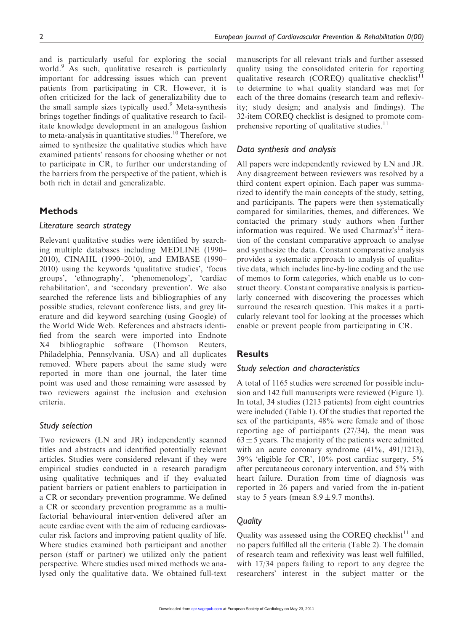and is particularly useful for exploring the social world.<sup>9</sup> As such, qualitative research is particularly important for addressing issues which can prevent patients from participating in CR. However, it is often criticized for the lack of generalizability due to the small sample sizes typically used. $9$  Meta-synthesis brings together findings of qualitative research to facilitate knowledge development in an analogous fashion to meta-analysis in quantitative studies.<sup>10</sup> Therefore, we aimed to synthesize the qualitative studies which have examined patients' reasons for choosing whether or not to participate in CR, to further our understanding of the barriers from the perspective of the patient, which is both rich in detail and generalizable.

# **Methods**

#### Literature search strategy

Relevant qualitative studies were identified by searching multiple databases including MEDLINE (1990– 2010), CINAHL (1990–2010), and EMBASE (1990– 2010) using the keywords 'qualitative studies', 'focus groups', 'ethnography', 'phenomenology', 'cardiac rehabilitation', and 'secondary prevention'. We also searched the reference lists and bibliographies of any possible studies, relevant conference lists, and grey literature and did keyword searching (using Google) of the World Wide Web. References and abstracts identified from the search were imported into Endnote X4 bibliographic software (Thomson Reuters, Philadelphia, Pennsylvania, USA) and all duplicates removed. Where papers about the same study were reported in more than one journal, the later time point was used and those remaining were assessed by two reviewers against the inclusion and exclusion criteria.

## Study selection

Two reviewers (LN and JR) independently scanned titles and abstracts and identified potentially relevant articles. Studies were considered relevant if they were empirical studies conducted in a research paradigm using qualitative techniques and if they evaluated patient barriers or patient enablers to participation in a CR or secondary prevention programme. We defined a CR or secondary prevention programme as a multifactorial behavioural intervention delivered after an acute cardiac event with the aim of reducing cardiovascular risk factors and improving patient quality of life. Where studies examined both participant and another person (staff or partner) we utilized only the patient perspective. Where studies used mixed methods we analysed only the qualitative data. We obtained full-text manuscripts for all relevant trials and further assessed quality using the consolidated criteria for reporting qualitative research (COREQ) qualitative checklist<sup>11</sup> to determine to what quality standard was met for each of the three domains (research team and reflexivity; study design; and analysis and findings). The 32-item COREQ checklist is designed to promote comprehensive reporting of qualitative studies.<sup>11</sup>

# Data synthesis and analysis

All papers were independently reviewed by LN and JR. Any disagreement between reviewers was resolved by a third content expert opinion. Each paper was summarized to identify the main concepts of the study, setting, and participants. The papers were then systematically compared for similarities, themes, and differences. We contacted the primary study authors when further information was required. We used Charmaz's<sup>12</sup> iteration of the constant comparative approach to analyse and synthesize the data. Constant comparative analysis provides a systematic approach to analysis of qualitative data, which includes line-by-line coding and the use of memos to form categories, which enable us to construct theory. Constant comparative analysis is particularly concerned with discovering the processes which surround the research question. This makes it a particularly relevant tool for looking at the processes which enable or prevent people from participating in CR.

#### **Results**

#### Study selection and characteristics

A total of 1165 studies were screened for possible inclusion and 142 full manuscripts were reviewed (Figure 1). In total, 34 studies (1213 patients) from eight countries were included (Table 1). Of the studies that reported the sex of the participants, 48% were female and of those reporting age of participants (27/34), the mean was  $63 \pm 5$  years. The majority of the patients were admitted with an acute coronary syndrome  $(41\%, 491/1213)$ , 39% 'eligible for CR', 10% post cardiac surgery, 5% after percutaneous coronary intervention, and 5% with heart failure. Duration from time of diagnosis was reported in 26 papers and varied from the in-patient stay to 5 years (mean  $8.9 \pm 9.7$  months).

### **Quality**

Quality was assessed using the COREQ checklist $11$  and no papers fulfilled all the criteria (Table 2). The domain of research team and reflexivity was least well fulfilled, with 17/34 papers failing to report to any degree the researchers' interest in the subject matter or the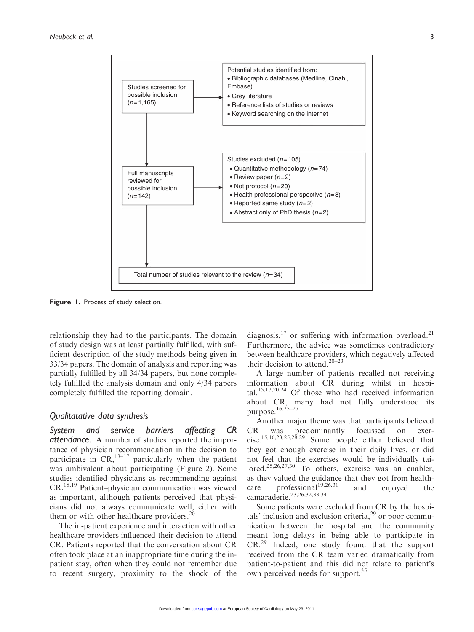

Figure 1. Process of study selection.

relationship they had to the participants. The domain of study design was at least partially fulfilled, with sufficient description of the study methods being given in 33/34 papers. The domain of analysis and reporting was partially fulfilled by all 34/34 papers, but none completely fulfilled the analysis domain and only 4/34 papers completely fulfilled the reporting domain.

#### Qualitatative data synthesis

System and service barriers affecting CR attendance. A number of studies reported the importance of physician recommendation in the decision to participate in  $CR$ ,<sup>13–17</sup> particularly when the patient was ambivalent about participating (Figure 2). Some studies identified physicians as recommending against CR.18,19 Patient–physician communication was viewed as important, although patients perceived that physicians did not always communicate well, either with them or with other healthcare providers.<sup>20</sup>

The in-patient experience and interaction with other healthcare providers influenced their decision to attend CR. Patients reported that the conversation about CR often took place at an inappropriate time during the inpatient stay, often when they could not remember due to recent surgery, proximity to the shock of the diagnosis, $^{17}$  or suffering with information overload.<sup>21</sup> Furthermore, the advice was sometimes contradictory between healthcare providers, which negatively affected their decision to attend.20–23

A large number of patients recalled not receiving information about CR during whilst in hospital.15,17,20,24 Of those who had received information about CR, many had not fully understood its purpose.<sup>16,25–27</sup>

Another major theme was that participants believed CR was predominantly focussed on exercise.15,16,23,25,28,29 Some people either believed that they got enough exercise in their daily lives, or did not feel that the exercises would be individually tailored.<sup>25,26,27,30</sup> To others, exercise was an enabler, as they valued the guidance that they got from healthcare professional<sup>19,26,31</sup> and enjoyed the camaraderie.<sup>23,26,32,33,34</sup>

Some patients were excluded from CR by the hospitals' inclusion and exclusion criteria, $2<sup>9</sup>$  or poor communication between the hospital and the community meant long delays in being able to participate in CR.<sup>29</sup> Indeed, one study found that the support received from the CR team varied dramatically from patient-to-patient and this did not relate to patient's own perceived needs for support.<sup>35</sup>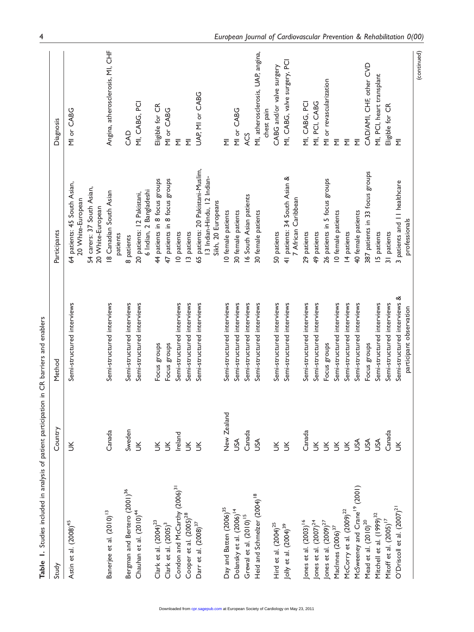| European Journal of Cardiovascular Prevention & Rehabilitation<br>Angina, atherosclerosis, MI, CHF<br>MI, atherosclerosis, UAP, angina,<br>MI, CABG, valve surgery, PCI<br>CAD/AMI, CHF, other CVD<br>CABG and/or valve surgery<br>MI, PCI, heart transplant<br>MI or revascularization<br>UAP, MI or CABG<br>MI, PCI, CABG<br>MI, CABG, PCI<br>MI, CABG, PCI<br>Eligible for CR<br>Eligible for CR<br>MI or CABG<br>MI or CABG<br>MI or CABG<br>chest pain<br>Diagnosis<br>GAD<br>ACS<br>$\overline{\Sigma}$<br>$\overline{\Sigma}$<br>$\overline{\Sigma}$<br>$\overline{\Sigma}$<br>$\overline{\Sigma}$<br>$\overline{\Sigma}$<br>Σ<br>65 patients: 20 Pakistani-Muslim,<br>387 patients in 33 focus groups<br>13 Indian-Hindu, 12 Indian-<br>41 patients: 34 South Asian &<br>44 patients in 8 focus groups<br>47 patients in 8 focus groups<br>26 patients in 5 focus groups<br>3 patients and 11 healthcare<br>64 patients: 45 South Asian,<br>54 carers: 37 South Asian,<br>6 Indian, 2 Bangladeshi<br>18 Canadian South Asian<br>20 patients: 12 Pakistani,<br>16 South Asian patients<br>7 African Caribbean<br>20 White-European<br>Sikh, 20 Europeans<br>20 White-European<br>30 female patients<br>10 female patients<br>30 female patients<br>40 female patients<br>10 female patients<br>professionals<br>Participants<br>49 patients<br>31 patients<br>10 patients<br>13 patients<br>50 patients<br>29 patients<br>14 patients<br>15 patients<br>patients<br>8 patients<br>Semi-structured interviews &<br>Semi-structured interviews<br>Semi-structured interviews<br>Semi-structured interviews<br>Semi-structured interviews<br>Semi-structured interviews<br>Semi-structured interviews<br>Semi-structured interviews<br>Semi-structured interviews<br>Semi-structured interviews<br>Semi-structured interviews<br>Semi-structured interviews<br>Semi-structured interviews<br>Semi-structured interviews<br>Semi-structured interviews<br>Semi-structured interviews<br>Semi-structured interviews<br>Semi-structured interviews<br>Semi-structured interviews<br>Semi-structured interviews<br>Semi-structured interviews<br>participant observation<br>Focus groups<br>Focus groups<br>Focus groups<br>Focus groups<br>Method<br>New Zealand<br>Country<br>Sweden<br>Canada<br>Canada<br>Canada<br>Canada<br>Ireland<br>ŠΣ<br>USA<br>AS<br>AS<br>USA<br>ΑSυ<br>$\leq$<br>$\leq$<br>$\leq$<br>$\leq$<br>$\leq$<br>$\leq$<br>$\leq$<br>$\preceq$<br>$\leq$<br>$\leq$ $\leq$<br>$\leq$<br>š<br>Condon and McCarthy (2006) <sup>31</sup><br>McSweeney and Crane <sup>19</sup> (2001)<br>Bergman and Bertero (2001) <sup>36</sup><br>Heid and Schmelzer (2004) <sup>18</sup><br>O'Driscoll et al. (2007) <sup>21</sup><br>Day and Batten (2006) <sup>35</sup><br>Dolansky et al. (2006) <sup>14</sup><br>McCorry et al. $(2009)^{22}$<br>Banerjee et al. (2010) <sup>13</sup><br>Chauhan et al. (2010) <sup>44</sup><br>Cooper et al. $(2005)^{28}$<br>Mitchell et al. (1999) <sup>32</sup><br>Grewal et al. (2010) <sup>15</sup><br>Mitoff et al. $(2005)^{17}$<br>Mead et al. (2010) <sup>20</sup><br>Jones et al. (2003) <sup>16</sup><br>Clark et al. $(2004)^{23}$<br>Jones et al. $(2007)^{24}$<br>Astin et al. (2008) <sup>45</sup><br>Jones et al. $(2009)^{27}$<br>Clark et al. $(2005)^3$<br>Darr et al. $(2008)^{37}$<br>Hird et al. $(2004)^{25}$<br>Jolly et al. (2004) <sup>39</sup><br>MacInnes $(2006)^{37}$<br>Study | Table 1. Studies included in analysis of patient participation in CR barriers and enablers |  |  | 4     |
|-------------------------------------------------------------------------------------------------------------------------------------------------------------------------------------------------------------------------------------------------------------------------------------------------------------------------------------------------------------------------------------------------------------------------------------------------------------------------------------------------------------------------------------------------------------------------------------------------------------------------------------------------------------------------------------------------------------------------------------------------------------------------------------------------------------------------------------------------------------------------------------------------------------------------------------------------------------------------------------------------------------------------------------------------------------------------------------------------------------------------------------------------------------------------------------------------------------------------------------------------------------------------------------------------------------------------------------------------------------------------------------------------------------------------------------------------------------------------------------------------------------------------------------------------------------------------------------------------------------------------------------------------------------------------------------------------------------------------------------------------------------------------------------------------------------------------------------------------------------------------------------------------------------------------------------------------------------------------------------------------------------------------------------------------------------------------------------------------------------------------------------------------------------------------------------------------------------------------------------------------------------------------------------------------------------------------------------------------------------------------------------------------------------------------------------------------------------------------------------------------------------------------------------------------------------------------------------------------------------------------------------------------------------------------------------------------------------------------------------------------------------------------------------------------------------------------------------------------------------------------------------------------------------------------------------------------------------------------------------------------------------------------------------------------------------------------------------------------------------------------------------------------------------------------------------------------------------------------------------------------------------------------------------------------------------------------------------------------------------------------------------------------------------------------------------------------------|--------------------------------------------------------------------------------------------|--|--|-------|
|                                                                                                                                                                                                                                                                                                                                                                                                                                                                                                                                                                                                                                                                                                                                                                                                                                                                                                                                                                                                                                                                                                                                                                                                                                                                                                                                                                                                                                                                                                                                                                                                                                                                                                                                                                                                                                                                                                                                                                                                                                                                                                                                                                                                                                                                                                                                                                                                                                                                                                                                                                                                                                                                                                                                                                                                                                                                                                                                                                                                                                                                                                                                                                                                                                                                                                                                                                                                                                                       |                                                                                            |  |  |       |
|                                                                                                                                                                                                                                                                                                                                                                                                                                                                                                                                                                                                                                                                                                                                                                                                                                                                                                                                                                                                                                                                                                                                                                                                                                                                                                                                                                                                                                                                                                                                                                                                                                                                                                                                                                                                                                                                                                                                                                                                                                                                                                                                                                                                                                                                                                                                                                                                                                                                                                                                                                                                                                                                                                                                                                                                                                                                                                                                                                                                                                                                                                                                                                                                                                                                                                                                                                                                                                                       |                                                                                            |  |  |       |
|                                                                                                                                                                                                                                                                                                                                                                                                                                                                                                                                                                                                                                                                                                                                                                                                                                                                                                                                                                                                                                                                                                                                                                                                                                                                                                                                                                                                                                                                                                                                                                                                                                                                                                                                                                                                                                                                                                                                                                                                                                                                                                                                                                                                                                                                                                                                                                                                                                                                                                                                                                                                                                                                                                                                                                                                                                                                                                                                                                                                                                                                                                                                                                                                                                                                                                                                                                                                                                                       |                                                                                            |  |  |       |
|                                                                                                                                                                                                                                                                                                                                                                                                                                                                                                                                                                                                                                                                                                                                                                                                                                                                                                                                                                                                                                                                                                                                                                                                                                                                                                                                                                                                                                                                                                                                                                                                                                                                                                                                                                                                                                                                                                                                                                                                                                                                                                                                                                                                                                                                                                                                                                                                                                                                                                                                                                                                                                                                                                                                                                                                                                                                                                                                                                                                                                                                                                                                                                                                                                                                                                                                                                                                                                                       |                                                                                            |  |  |       |
|                                                                                                                                                                                                                                                                                                                                                                                                                                                                                                                                                                                                                                                                                                                                                                                                                                                                                                                                                                                                                                                                                                                                                                                                                                                                                                                                                                                                                                                                                                                                                                                                                                                                                                                                                                                                                                                                                                                                                                                                                                                                                                                                                                                                                                                                                                                                                                                                                                                                                                                                                                                                                                                                                                                                                                                                                                                                                                                                                                                                                                                                                                                                                                                                                                                                                                                                                                                                                                                       |                                                                                            |  |  |       |
|                                                                                                                                                                                                                                                                                                                                                                                                                                                                                                                                                                                                                                                                                                                                                                                                                                                                                                                                                                                                                                                                                                                                                                                                                                                                                                                                                                                                                                                                                                                                                                                                                                                                                                                                                                                                                                                                                                                                                                                                                                                                                                                                                                                                                                                                                                                                                                                                                                                                                                                                                                                                                                                                                                                                                                                                                                                                                                                                                                                                                                                                                                                                                                                                                                                                                                                                                                                                                                                       |                                                                                            |  |  |       |
|                                                                                                                                                                                                                                                                                                                                                                                                                                                                                                                                                                                                                                                                                                                                                                                                                                                                                                                                                                                                                                                                                                                                                                                                                                                                                                                                                                                                                                                                                                                                                                                                                                                                                                                                                                                                                                                                                                                                                                                                                                                                                                                                                                                                                                                                                                                                                                                                                                                                                                                                                                                                                                                                                                                                                                                                                                                                                                                                                                                                                                                                                                                                                                                                                                                                                                                                                                                                                                                       |                                                                                            |  |  |       |
|                                                                                                                                                                                                                                                                                                                                                                                                                                                                                                                                                                                                                                                                                                                                                                                                                                                                                                                                                                                                                                                                                                                                                                                                                                                                                                                                                                                                                                                                                                                                                                                                                                                                                                                                                                                                                                                                                                                                                                                                                                                                                                                                                                                                                                                                                                                                                                                                                                                                                                                                                                                                                                                                                                                                                                                                                                                                                                                                                                                                                                                                                                                                                                                                                                                                                                                                                                                                                                                       |                                                                                            |  |  |       |
|                                                                                                                                                                                                                                                                                                                                                                                                                                                                                                                                                                                                                                                                                                                                                                                                                                                                                                                                                                                                                                                                                                                                                                                                                                                                                                                                                                                                                                                                                                                                                                                                                                                                                                                                                                                                                                                                                                                                                                                                                                                                                                                                                                                                                                                                                                                                                                                                                                                                                                                                                                                                                                                                                                                                                                                                                                                                                                                                                                                                                                                                                                                                                                                                                                                                                                                                                                                                                                                       |                                                                                            |  |  |       |
|                                                                                                                                                                                                                                                                                                                                                                                                                                                                                                                                                                                                                                                                                                                                                                                                                                                                                                                                                                                                                                                                                                                                                                                                                                                                                                                                                                                                                                                                                                                                                                                                                                                                                                                                                                                                                                                                                                                                                                                                                                                                                                                                                                                                                                                                                                                                                                                                                                                                                                                                                                                                                                                                                                                                                                                                                                                                                                                                                                                                                                                                                                                                                                                                                                                                                                                                                                                                                                                       |                                                                                            |  |  |       |
|                                                                                                                                                                                                                                                                                                                                                                                                                                                                                                                                                                                                                                                                                                                                                                                                                                                                                                                                                                                                                                                                                                                                                                                                                                                                                                                                                                                                                                                                                                                                                                                                                                                                                                                                                                                                                                                                                                                                                                                                                                                                                                                                                                                                                                                                                                                                                                                                                                                                                                                                                                                                                                                                                                                                                                                                                                                                                                                                                                                                                                                                                                                                                                                                                                                                                                                                                                                                                                                       |                                                                                            |  |  |       |
|                                                                                                                                                                                                                                                                                                                                                                                                                                                                                                                                                                                                                                                                                                                                                                                                                                                                                                                                                                                                                                                                                                                                                                                                                                                                                                                                                                                                                                                                                                                                                                                                                                                                                                                                                                                                                                                                                                                                                                                                                                                                                                                                                                                                                                                                                                                                                                                                                                                                                                                                                                                                                                                                                                                                                                                                                                                                                                                                                                                                                                                                                                                                                                                                                                                                                                                                                                                                                                                       |                                                                                            |  |  |       |
|                                                                                                                                                                                                                                                                                                                                                                                                                                                                                                                                                                                                                                                                                                                                                                                                                                                                                                                                                                                                                                                                                                                                                                                                                                                                                                                                                                                                                                                                                                                                                                                                                                                                                                                                                                                                                                                                                                                                                                                                                                                                                                                                                                                                                                                                                                                                                                                                                                                                                                                                                                                                                                                                                                                                                                                                                                                                                                                                                                                                                                                                                                                                                                                                                                                                                                                                                                                                                                                       |                                                                                            |  |  |       |
|                                                                                                                                                                                                                                                                                                                                                                                                                                                                                                                                                                                                                                                                                                                                                                                                                                                                                                                                                                                                                                                                                                                                                                                                                                                                                                                                                                                                                                                                                                                                                                                                                                                                                                                                                                                                                                                                                                                                                                                                                                                                                                                                                                                                                                                                                                                                                                                                                                                                                                                                                                                                                                                                                                                                                                                                                                                                                                                                                                                                                                                                                                                                                                                                                                                                                                                                                                                                                                                       |                                                                                            |  |  |       |
|                                                                                                                                                                                                                                                                                                                                                                                                                                                                                                                                                                                                                                                                                                                                                                                                                                                                                                                                                                                                                                                                                                                                                                                                                                                                                                                                                                                                                                                                                                                                                                                                                                                                                                                                                                                                                                                                                                                                                                                                                                                                                                                                                                                                                                                                                                                                                                                                                                                                                                                                                                                                                                                                                                                                                                                                                                                                                                                                                                                                                                                                                                                                                                                                                                                                                                                                                                                                                                                       |                                                                                            |  |  |       |
|                                                                                                                                                                                                                                                                                                                                                                                                                                                                                                                                                                                                                                                                                                                                                                                                                                                                                                                                                                                                                                                                                                                                                                                                                                                                                                                                                                                                                                                                                                                                                                                                                                                                                                                                                                                                                                                                                                                                                                                                                                                                                                                                                                                                                                                                                                                                                                                                                                                                                                                                                                                                                                                                                                                                                                                                                                                                                                                                                                                                                                                                                                                                                                                                                                                                                                                                                                                                                                                       |                                                                                            |  |  |       |
|                                                                                                                                                                                                                                                                                                                                                                                                                                                                                                                                                                                                                                                                                                                                                                                                                                                                                                                                                                                                                                                                                                                                                                                                                                                                                                                                                                                                                                                                                                                                                                                                                                                                                                                                                                                                                                                                                                                                                                                                                                                                                                                                                                                                                                                                                                                                                                                                                                                                                                                                                                                                                                                                                                                                                                                                                                                                                                                                                                                                                                                                                                                                                                                                                                                                                                                                                                                                                                                       |                                                                                            |  |  |       |
|                                                                                                                                                                                                                                                                                                                                                                                                                                                                                                                                                                                                                                                                                                                                                                                                                                                                                                                                                                                                                                                                                                                                                                                                                                                                                                                                                                                                                                                                                                                                                                                                                                                                                                                                                                                                                                                                                                                                                                                                                                                                                                                                                                                                                                                                                                                                                                                                                                                                                                                                                                                                                                                                                                                                                                                                                                                                                                                                                                                                                                                                                                                                                                                                                                                                                                                                                                                                                                                       |                                                                                            |  |  |       |
|                                                                                                                                                                                                                                                                                                                                                                                                                                                                                                                                                                                                                                                                                                                                                                                                                                                                                                                                                                                                                                                                                                                                                                                                                                                                                                                                                                                                                                                                                                                                                                                                                                                                                                                                                                                                                                                                                                                                                                                                                                                                                                                                                                                                                                                                                                                                                                                                                                                                                                                                                                                                                                                                                                                                                                                                                                                                                                                                                                                                                                                                                                                                                                                                                                                                                                                                                                                                                                                       |                                                                                            |  |  |       |
|                                                                                                                                                                                                                                                                                                                                                                                                                                                                                                                                                                                                                                                                                                                                                                                                                                                                                                                                                                                                                                                                                                                                                                                                                                                                                                                                                                                                                                                                                                                                                                                                                                                                                                                                                                                                                                                                                                                                                                                                                                                                                                                                                                                                                                                                                                                                                                                                                                                                                                                                                                                                                                                                                                                                                                                                                                                                                                                                                                                                                                                                                                                                                                                                                                                                                                                                                                                                                                                       |                                                                                            |  |  |       |
|                                                                                                                                                                                                                                                                                                                                                                                                                                                                                                                                                                                                                                                                                                                                                                                                                                                                                                                                                                                                                                                                                                                                                                                                                                                                                                                                                                                                                                                                                                                                                                                                                                                                                                                                                                                                                                                                                                                                                                                                                                                                                                                                                                                                                                                                                                                                                                                                                                                                                                                                                                                                                                                                                                                                                                                                                                                                                                                                                                                                                                                                                                                                                                                                                                                                                                                                                                                                                                                       |                                                                                            |  |  |       |
|                                                                                                                                                                                                                                                                                                                                                                                                                                                                                                                                                                                                                                                                                                                                                                                                                                                                                                                                                                                                                                                                                                                                                                                                                                                                                                                                                                                                                                                                                                                                                                                                                                                                                                                                                                                                                                                                                                                                                                                                                                                                                                                                                                                                                                                                                                                                                                                                                                                                                                                                                                                                                                                                                                                                                                                                                                                                                                                                                                                                                                                                                                                                                                                                                                                                                                                                                                                                                                                       |                                                                                            |  |  |       |
|                                                                                                                                                                                                                                                                                                                                                                                                                                                                                                                                                                                                                                                                                                                                                                                                                                                                                                                                                                                                                                                                                                                                                                                                                                                                                                                                                                                                                                                                                                                                                                                                                                                                                                                                                                                                                                                                                                                                                                                                                                                                                                                                                                                                                                                                                                                                                                                                                                                                                                                                                                                                                                                                                                                                                                                                                                                                                                                                                                                                                                                                                                                                                                                                                                                                                                                                                                                                                                                       |                                                                                            |  |  |       |
|                                                                                                                                                                                                                                                                                                                                                                                                                                                                                                                                                                                                                                                                                                                                                                                                                                                                                                                                                                                                                                                                                                                                                                                                                                                                                                                                                                                                                                                                                                                                                                                                                                                                                                                                                                                                                                                                                                                                                                                                                                                                                                                                                                                                                                                                                                                                                                                                                                                                                                                                                                                                                                                                                                                                                                                                                                                                                                                                                                                                                                                                                                                                                                                                                                                                                                                                                                                                                                                       |                                                                                            |  |  |       |
|                                                                                                                                                                                                                                                                                                                                                                                                                                                                                                                                                                                                                                                                                                                                                                                                                                                                                                                                                                                                                                                                                                                                                                                                                                                                                                                                                                                                                                                                                                                                                                                                                                                                                                                                                                                                                                                                                                                                                                                                                                                                                                                                                                                                                                                                                                                                                                                                                                                                                                                                                                                                                                                                                                                                                                                                                                                                                                                                                                                                                                                                                                                                                                                                                                                                                                                                                                                                                                                       |                                                                                            |  |  |       |
|                                                                                                                                                                                                                                                                                                                                                                                                                                                                                                                                                                                                                                                                                                                                                                                                                                                                                                                                                                                                                                                                                                                                                                                                                                                                                                                                                                                                                                                                                                                                                                                                                                                                                                                                                                                                                                                                                                                                                                                                                                                                                                                                                                                                                                                                                                                                                                                                                                                                                                                                                                                                                                                                                                                                                                                                                                                                                                                                                                                                                                                                                                                                                                                                                                                                                                                                                                                                                                                       |                                                                                            |  |  |       |
|                                                                                                                                                                                                                                                                                                                                                                                                                                                                                                                                                                                                                                                                                                                                                                                                                                                                                                                                                                                                                                                                                                                                                                                                                                                                                                                                                                                                                                                                                                                                                                                                                                                                                                                                                                                                                                                                                                                                                                                                                                                                                                                                                                                                                                                                                                                                                                                                                                                                                                                                                                                                                                                                                                                                                                                                                                                                                                                                                                                                                                                                                                                                                                                                                                                                                                                                                                                                                                                       |                                                                                            |  |  |       |
|                                                                                                                                                                                                                                                                                                                                                                                                                                                                                                                                                                                                                                                                                                                                                                                                                                                                                                                                                                                                                                                                                                                                                                                                                                                                                                                                                                                                                                                                                                                                                                                                                                                                                                                                                                                                                                                                                                                                                                                                                                                                                                                                                                                                                                                                                                                                                                                                                                                                                                                                                                                                                                                                                                                                                                                                                                                                                                                                                                                                                                                                                                                                                                                                                                                                                                                                                                                                                                                       |                                                                                            |  |  |       |
|                                                                                                                                                                                                                                                                                                                                                                                                                                                                                                                                                                                                                                                                                                                                                                                                                                                                                                                                                                                                                                                                                                                                                                                                                                                                                                                                                                                                                                                                                                                                                                                                                                                                                                                                                                                                                                                                                                                                                                                                                                                                                                                                                                                                                                                                                                                                                                                                                                                                                                                                                                                                                                                                                                                                                                                                                                                                                                                                                                                                                                                                                                                                                                                                                                                                                                                                                                                                                                                       |                                                                                            |  |  | O(00) |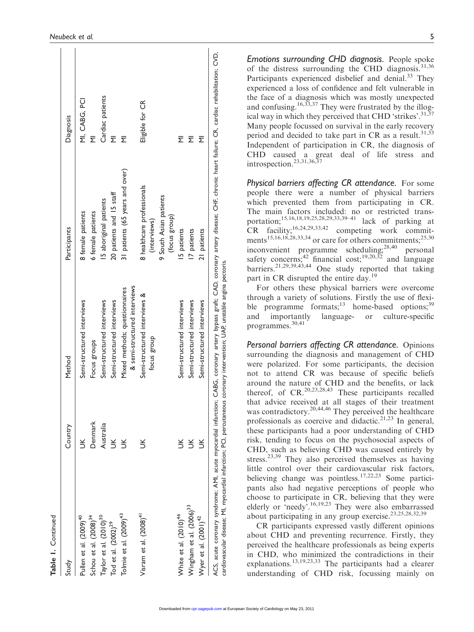| Study                               | Country   | Method                                                        | Participants                                                                          | <b>Diagnosis</b> |
|-------------------------------------|-----------|---------------------------------------------------------------|---------------------------------------------------------------------------------------|------------------|
| Pullen et al. (2009) <sup>40</sup>  | $\preceq$ | Semi-structured interviews                                    | 8 female patients                                                                     | MI, CABG, PCI    |
| Schou et al. (2008) <sup>34</sup>   | Denmark   | Focus groups                                                  | 6 female patients                                                                     | Σ                |
| Taylor et al. (2010) <sup>30</sup>  | Australia | Semi-structured interviews                                    | 15 aboriginal patients                                                                | Cardiac patients |
| Tod et al. $(2002)^{29}$            | $\leq$    | Semi-structured interviews                                    | 20 patients and 15 staff                                                              | Σ                |
| Tolmie et al. (2009) <sup>43</sup>  |           | & semi-structured interviews<br>Mixed methods; questionnaires | 31 patients (65 years and over)                                                       | Σ                |
| Visram et al. (2008) <sup>41</sup>  | š         | Semi-structured interviews &<br>focus group                   | 8 healthcare professionals<br>9 South Asian patients<br>(focus group)<br>(interviews) | Eligible for CR  |
| White et al. (2010) <sup>46</sup>   |           | Semi-structured interviews                                    | 15 patients                                                                           | Σ                |
| Wingham et al. (2006) <sup>33</sup> |           | Semi-structured interviews                                    | 17 patients                                                                           | Σ                |
| Wyer et al. $(2001)^{42}$           |           | Semi-structured interviews                                    | 21 patients                                                                           | Σ                |

Emotions surrounding CHD diagnosis. People spoke of the distress surrounding the CHD diagnosis.<sup>31,36</sup> Participants experienced disbelief and denial.<sup>33</sup> They experienced a loss of confidence and felt vulnerable in the face of a diagnosis which was mostly unexpected and confusing.<sup>16,33,37</sup> They were frustrated by the illogical way in which they perceived that CHD 'strikes'.<sup>31,37</sup> Many people focussed on survival in the early recovery period and decided to take part in CR as a result. $31,33$ Independent of participation in CR, the diagnosis of CHD caused a great deal of life stress and introspection.<sup>23,31,36,37</sup>

Physical barriers affecting CR attendance. For some people there were a number of physical barriers which prevented them from participating in CR. The main factors included: no or restricted transportation;15,16,18,19,25,28,29,33,39–41 lack of parking at  $CR$  facility;<sup>16,24,29,33,42</sup> competing work commitments<sup>15,16,18,28,33,34</sup> or care for others commitments;<sup>25,30</sup> inconvenient programme scheduling; $28,40$  personal safety concerns;<sup>42</sup> financial cost;<sup>19,20,32</sup> and language barriers.<sup>21,29,39,43,44</sup> One study reported that taking part in CR disrupted the entire day.<sup>19</sup>

For others these physical barriers were overcome through a variety of solutions. Firstly the use of flexible programme formats; $^{13}$  home-based options; $^{39}$ and importantly language- or culture-specific programmes.30,41

Personal barriers affecting CR attendance. Opinions surrounding the diagnosis and management of CHD were polarized. For some participants, the decision not to attend CR was because of specific beliefs around the nature of CHD and the benefits, or lack thereof, of  $CR^{20,23,28,43}$  These participants recalled that advice received at all stages of their treatment was contradictory.<sup>20,44,46</sup> They perceived the healthcare professionals as coercive and didactic. $21,23$  In general, these participants had a poor understanding of CHD risk, tending to focus on the psychosocial aspects of CHD, such as believing CHD was caused entirely by stress.<sup>23,39</sup> They also perceived themselves as having little control over their cardiovascular risk factors, believing change was pointless.<sup>17,22,23</sup> Some participants also had negative perceptions of people who choose to participate in CR, believing that they were elderly or 'needy'.<sup>16,19,23</sup> They were also embarrassed about participating in any group exercise.23,25,28,32,39

CR participants expressed vastly different opinions about CHD and preventing recurrence. Firstly, they perceived the healthcare professionals as being experts in CHD, who minimized the contradictions in their explanations.13,19,23,33 The participants had a clearer understanding of CHD risk, focussing mainly on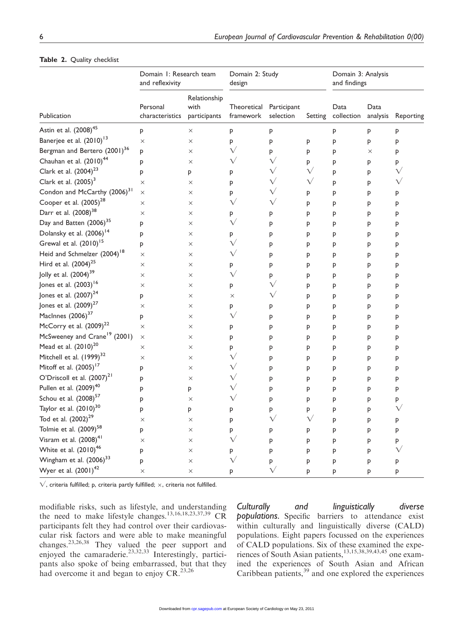|                                          | Domain I: Research team<br>and reflexivity |                                      | Domain 2: Study<br>design |                          |           | Domain 3: Analysis<br>and findings |                  |                          |
|------------------------------------------|--------------------------------------------|--------------------------------------|---------------------------|--------------------------|-----------|------------------------------------|------------------|--------------------------|
| Publication                              | Personal<br>characteristics                | Relationship<br>with<br>participants | Theoretical<br>framework  | Participant<br>selection | Setting   | Data<br>collection                 | Data<br>analysis | Reporting                |
| Astin et al. (2008) <sup>45</sup>        | Þ                                          | $\times$                             | P                         | P                        |           | P                                  | P                | P                        |
| Banerjee et al. (2010) <sup>13</sup>     | $\times$                                   | $\times$                             | P                         | P                        | P         | P                                  | P                | P                        |
| Bergman and Bertero (2001) <sup>36</sup> | P                                          | $\times$                             | $\sqrt{}$                 | P                        | P         | P                                  | $\times$         | P                        |
| Chauhan et al. (2010) <sup>44</sup>      | P                                          | X                                    | $\sqrt{}$                 | $\sqrt{}$                | P         | P                                  | P                | P                        |
| Clark et al. (2004) <sup>23</sup>        | Þ                                          | P                                    | P                         | $\sqrt{}$                | $\sqrt{}$ | P                                  | p                | $\sqrt{}$                |
| Clark et al. (2005) <sup>3</sup>         | $\times$                                   | $\times$                             | P                         | $\sqrt{}$                | $\vee$    | P                                  | P                | $\scriptstyle\mathsf{V}$ |
| Condon and McCarthy (2006) <sup>31</sup> | X                                          | $\times$                             | P                         | $\sqrt{}$                | P         | P                                  | p                | P                        |
| Cooper et al. (2005) <sup>28</sup>       | X                                          | $\times$                             | $\sqrt{}$                 | $\sqrt{}$                | P         | P                                  | p                | P                        |
| Darr et al. (2008) <sup>38</sup>         | $\times$                                   | $\times$                             | P                         | P                        | P         | P                                  | P                | P                        |
| Day and Batten (2006) <sup>35</sup>      | P                                          | $\times$                             | $\sqrt{}$                 | P                        | P         | P                                  | P                | P                        |
| Dolansky et al. (2006) <sup>14</sup>     | P                                          | $\times$                             | P                         | P                        | P         | P                                  | p                | P                        |
| Grewal et al. (2010) <sup>15</sup>       | P                                          | $\times$                             | $\sqrt{}$                 | P                        | P         | P                                  | P                | P                        |
| Heid and Schmelzer (2004) <sup>18</sup>  | $\times$                                   | $\times$                             | $\sqrt{}$                 | P                        | P         | P                                  | P                | P                        |
| Hird et al. (2004) <sup>25</sup>         | $\times$                                   | $\times$                             | P                         | P                        | P         | P                                  | P                | P                        |
| Jolly et al. (2004) <sup>39</sup>        | ×                                          | X                                    | $\sqrt{}$                 | P                        | P         | P                                  | P                | P                        |
| Jones et al. (2003) <sup>16</sup>        | $\times$                                   | $\times$                             | P                         | $\checkmark$             | P         | P                                  | P                | P                        |
| Jones et al. (2007) <sup>24</sup>        | P                                          | X                                    | $\times$                  | $\vee$                   | P         | P                                  | P                | P                        |
| Jones et al. (2009) <sup>27</sup>        | $\times$                                   | $\times$                             | P                         | P                        | P         | P                                  | p                | P                        |
| MacInnes (2006) <sup>37</sup>            | Þ                                          | X                                    | $\sqrt{}$                 | P                        | P         | P                                  | p                | P                        |
| McCorry et al. (2009) <sup>22</sup>      | $\times$                                   | $\times$                             | P                         | P                        | P         | P                                  | p                | P                        |
| McSweeney and Crane <sup>19</sup> (2001) | $\times$                                   | $\times$                             | P                         | P                        | P         | P                                  | p                | P                        |
| Mead et al. (2010) <sup>20</sup>         | X                                          | $\times$                             | P                         | P                        | P         | P                                  | p                | P                        |
| Mitchell et al. (1999) <sup>32</sup>     | $\times$                                   | $\times$                             | $\sqrt{}$                 | P                        | P         | P                                  | P                | P                        |
| Mitoff et al. (2005) <sup>17</sup>       | P                                          | $\times$                             | $\sqrt{}$                 | P                        | P         | P                                  | P                | P                        |
| O'Driscoll et al. (2007) <sup>21</sup>   | P                                          | $\times$                             | $\sqrt{}$                 | P                        | P         | P                                  | P                | P                        |
| Pullen et al. (2009) <sup>40</sup>       | P                                          | P                                    | $\sqrt{}$                 | P                        | P         | P                                  | P                | P                        |
| Schou et al. (2008) <sup>57</sup>        | P                                          | $\times$                             | $\sqrt{}$                 | P                        | P         | P                                  | P                | P                        |
| Taylor et al. (2010) <sup>30</sup>       | P                                          | P                                    | P                         | P                        | P         | P                                  | P                | $\scriptstyle\mathsf{V}$ |
| Tod et al. (2002) <sup>29</sup>          | $\times$                                   | $\times$                             | Þ                         | $\sqrt{}$                | $\sqrt{}$ | P                                  | P                | P                        |
| Tolmie et al. (2009) <sup>58</sup>       | Þ                                          | X                                    | P                         | P                        | P         | P                                  | P                | P                        |
| Visram et al. (2008) <sup>41</sup>       | $\times$                                   | $\times$                             | $\sqrt{}$                 | P                        | P         | P                                  | P                | P                        |
| White et al. (2010) <sup>46</sup>        | P                                          | $\times$                             | P                         | P                        | P         | P                                  | P                | $\sqrt{}$                |
| Wingham et al. (2006) <sup>33</sup>      | P                                          | $\times$                             | $\sqrt{}$                 | P                        | P         | P                                  | p                | P                        |
| Wyer et al. (2001) <sup>42</sup>         | $\times$                                   | $\times$                             | P                         | $\sqrt{}$                | P         | P                                  | P                | P                        |

# Table 2. Quality checklist

 $\sqrt{ }$ , criteria fulfilled; p, criteria partly fulfilled;  $\times$ , criteria not fulfilled.

modifiable risks, such as lifestyle, and understanding the need to make lifestyle changes.<sup>13,16,18,23,37,39</sup> CR participants felt they had control over their cardiovascular risk factors and were able to make meaningful changes.23,26,38 They valued the peer support and enjoyed the camaraderie.<sup>23,32,33</sup> Interestingly, participants also spoke of being embarrassed, but that they had overcome it and began to enjoy CR.<sup>23,26</sup>

Culturally and linguistically diverse populations. Specific barriers to attendance exist within culturally and linguistically diverse (CALD) populations. Eight papers focussed on the experiences of CALD populations. Six of these examined the experiences of South Asian patients,13,15,38,39,43,45 one examined the experiences of South Asian and African Caribbean patients,<sup>39</sup> and one explored the experiences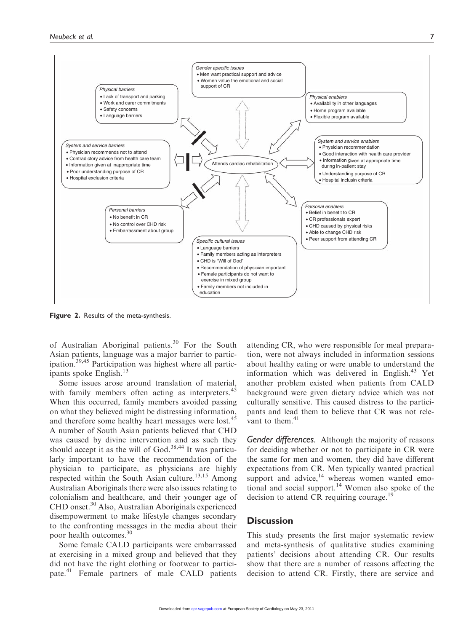

Figure 2. Results of the meta-synthesis.

of Australian Aboriginal patients.<sup>30</sup> For the South Asian patients, language was a major barrier to participation.39,45 Participation was highest where all participants spoke English.<sup>13</sup>

Some issues arose around translation of material, with family members often acting as interpreters.<sup>45</sup> When this occurred, family members avoided passing on what they believed might be distressing information, and therefore some healthy heart messages were lost.<sup>45</sup> A number of South Asian patients believed that CHD was caused by divine intervention and as such they should accept it as the will of God. $38,44$  It was particularly important to have the recommendation of the physician to participate, as physicians are highly respected within the South Asian culture.<sup>13,15</sup> Among Australian Aboriginals there were also issues relating to colonialism and healthcare, and their younger age of CHD onset.<sup>30</sup> Also, Australian Aboriginals experienced disempowerment to make lifestyle changes secondary to the confronting messages in the media about their poor health outcomes.<sup>30</sup>

Some female CALD participants were embarrassed at exercising in a mixed group and believed that they did not have the right clothing or footwear to participate.<sup>41</sup> Female partners of male CALD patients attending CR, who were responsible for meal preparation, were not always included in information sessions about healthy eating or were unable to understand the information which was delivered in English.<sup>43</sup> Yet another problem existed when patients from CALD background were given dietary advice which was not culturally sensitive. This caused distress to the participants and lead them to believe that CR was not relevant to them.<sup>41</sup>

Gender differences. Although the majority of reasons for deciding whether or not to participate in CR were the same for men and women, they did have different expectations from CR. Men typically wanted practical support and advice, $14$  whereas women wanted emotional and social support.<sup>14</sup> Women also spoke of the decision to attend CR requiring courage.<sup>1</sup>

# **Discussion**

This study presents the first major systematic review and meta-synthesis of qualitative studies examining patients' decisions about attending CR. Our results show that there are a number of reasons affecting the decision to attend CR. Firstly, there are service and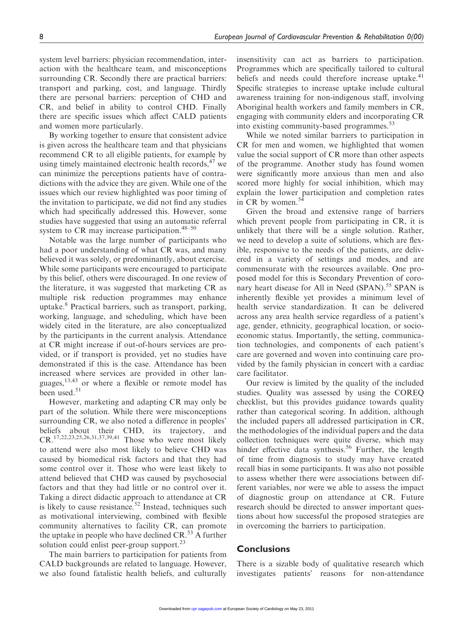system level barriers: physician recommendation, interaction with the healthcare team, and misconceptions surrounding CR. Secondly there are practical barriers: transport and parking, cost, and language. Thirdly there are personal barriers: perception of CHD and CR, and belief in ability to control CHD. Finally there are specific issues which affect CALD patients and women more particularly.

By working together to ensure that consistent advice is given across the healthcare team and that physicians recommend CR to all eligible patients, for example by using timely maintained electronic health records,  $47$  we can minimize the perceptions patients have of contradictions with the advice they are given. While one of the issues which our review highlighted was poor timing of the invitation to participate, we did not find any studies which had specifically addressed this. However, some studies have suggested that using an automatic referral system to CR may increase participation.<sup>48-50</sup>

Notable was the large number of participants who had a poor understanding of what CR was, and many believed it was solely, or predominantly, about exercise. While some participants were encouraged to participate by this belief, others were discouraged. In one review of the literature, it was suggested that marketing CR as multiple risk reduction programmes may enhance uptake. $8$  Practical barriers, such as transport, parking, working, language, and scheduling, which have been widely cited in the literature, are also conceptualized by the participants in the current analysis. Attendance at CR might increase if out-of-hours services are provided, or if transport is provided, yet no studies have demonstrated if this is the case. Attendance has been increased where services are provided in other languages,13,43 or where a flexible or remote model has been used.<sup>51</sup>

However, marketing and adapting CR may only be part of the solution. While there were misconceptions surrounding CR, we also noted a difference in peoples' beliefs about their CHD, its trajectory, and CR.17,22,23,25,26,31,37,39,41 Those who were most likely to attend were also most likely to believe CHD was caused by biomedical risk factors and that they had some control over it. Those who were least likely to attend believed that CHD was caused by psychosocial factors and that they had little or no control over it. Taking a direct didactic approach to attendance at CR is likely to cause resistance.<sup>52</sup> Instead, techniques such as motivational interviewing, combined with flexible community alternatives to facility CR, can promote the uptake in people who have declined  $CR.^{53}$  A further solution could enlist peer-group support. $^{23}$ 

The main barriers to participation for patients from CALD backgrounds are related to language. However, we also found fatalistic health beliefs, and culturally

insensitivity can act as barriers to participation. Programmes which are specifically tailored to cultural beliefs and needs could therefore increase uptake.<sup>41</sup> Specific strategies to increase uptake include cultural awareness training for non-indigenous staff, involving Aboriginal health workers and family members in CR, engaging with community elders and incorporating CR into existing community-based programmes.<sup>53</sup>

While we noted similar barriers to participation in CR for men and women, we highlighted that women value the social support of CR more than other aspects of the programme. Another study has found women were significantly more anxious than men and also scored more highly for social inhibition, which may explain the lower participation and completion rates in CR by women. $54$ 

Given the broad and extensive range of barriers which prevent people from participating in CR, it is unlikely that there will be a single solution. Rather, we need to develop a suite of solutions, which are flexible, responsive to the needs of the patients, are delivered in a variety of settings and modes, and are commensurate with the resources available. One proposed model for this is Secondary Prevention of coronary heart disease for All in Need (SPAN).<sup>55</sup> SPAN is inherently flexible yet provides a minimum level of health service standardization. It can be delivered across any area health service regardless of a patient's age, gender, ethnicity, geographical location, or socioeconomic status. Importantly, the setting, communication technologies, and components of each patient's care are governed and woven into continuing care provided by the family physician in concert with a cardiac care facilitator.

Our review is limited by the quality of the included studies. Quality was assessed by using the COREQ checklist, but this provides guidance towards quality rather than categorical scoring. In addition, although the included papers all addressed participation in CR, the methodologies of the individual papers and the data collection techniques were quite diverse, which may hinder effective data synthesis.<sup>56</sup> Further, the length of time from diagnosis to study may have created recall bias in some participants. It was also not possible to assess whether there were associations between different variables, nor were we able to assess the impact of diagnostic group on attendance at CR. Future research should be directed to answer important questions about how successful the proposed strategies are in overcoming the barriers to participation.

#### **Conclusions**

There is a sizable body of qualitative research which investigates patients' reasons for non-attendance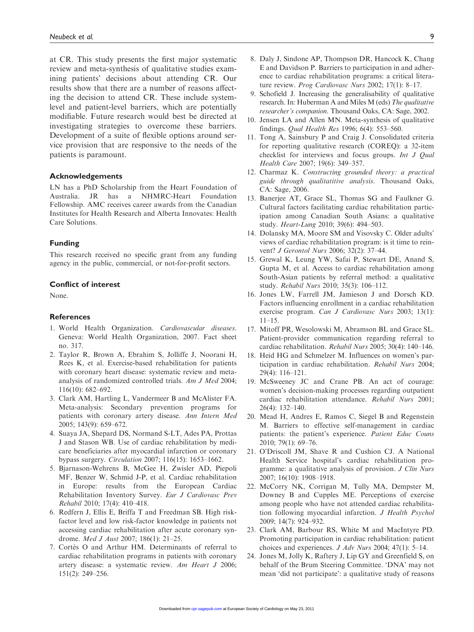at CR. This study presents the first major systematic review and meta-synthesis of qualitative studies examining patients' decisions about attending CR. Our results show that there are a number of reasons affecting the decision to attend CR. These include systemlevel and patient-level barriers, which are potentially modifiable. Future research would best be directed at investigating strategies to overcome these barriers. Development of a suite of flexible options around service provision that are responsive to the needs of the patients is paramount.

#### Acknowledgements

LN has a PhD Scholarship from the Heart Foundation of Australia. JR has a NHMRC-Heart Foundation Fellowship. AMC receives career awards from the Canadian Institutes for Health Research and Alberta Innovates: Health Care Solutions.

#### Funding

This research received no specific grant from any funding agency in the public, commercial, or not-for-profit sectors.

#### Conflict of interest

None.

#### **References**

- 1. World Health Organization. Cardiovascular diseases. Geneva: World Health Organization, 2007. Fact sheet no. 317.
- 2. Taylor R, Brown A, Ebrahim S, Jolliffe J, Noorani H, Rees K, et al. Exercise-based rehabilitation for patients with coronary heart disease: systematic review and metaanalysis of randomized controlled trials. Am J Med 2004; 116(10): 682–692.
- 3. Clark AM, Hartling L, Vandermeer B and McAlister FA. Meta-analysis: Secondary prevention programs for patients with coronary artery disease. Ann Intern Med 2005; 143(9): 659–672.
- 4. Suaya JA, Shepard DS, Normand S-LT, Ades PA, Prottas J and Stason WB. Use of cardiac rehabilitation by medicare beneficiaries after myocardial infarction or coronary bypass surgery. Circulation 2007; 116(15): 1653–1662.
- 5. Bjarnason-Wehrens B, McGee H, Zwisler AD, Piepoli MF, Benzer W, Schmid J-P, et al. Cardiac rehabilitation in Europe: results from the European Cardiac Rehabilitation Inventory Survey. Eur J Cardiovasc Prev Rehabil 2010; 17(4): 410–418.
- 6. Redfern J, Ellis E, Briffa T and Freedman SB. High riskfactor level and low risk-factor knowledge in patients not accessing cardiac rehabilitation after acute coronary syndrome. Med J Aust 2007; 186(1): 21–25.
- 7. Cortés O and Arthur HM. Determinants of referral to cardiac rehabilitation programs in patients with coronary artery disease: a systematic review. Am Heart J 2006; 151(2): 249–256.
- 8. Daly J, Sindone AP, Thompson DR, Hancock K, Chang E and Davidson P. Barriers to participation in and adherence to cardiac rehabilitation programs: a critical literature review. Prog Cardiovasc Nurs 2002; 17(1): 8–17.
- 9. Schofield J. Increasing the generalisability of qualitative research. In: Huberman A and Miles M (eds) The qualitative researcher's companion. Thousand Oaks, CA: Sage, 2002.
- 10. Jensen LA and Allen MN. Meta-synthesis of qualitative findings. Qual Health Res 1996; 6(4): 553–560.
- 11. Tong A, Sainsbury P and Craig J. Consolidated criteria for reporting qualitative research (COREQ): a 32-item checklist for interviews and focus groups. Int J Qual Health Care 2007; 19(6): 349–357.
- 12. Charmaz K. Constructing grounded theory: a practical guide through qualitatitive analysis. Thousand Oaks, CA: Sage, 2006.
- 13. Banerjee AT, Grace SL, Thomas SG and Faulkner G. Cultural factors facilitating cardiac rehabilitation participation among Canadian South Asians: a qualitative study. Heart-Lung 2010; 39(6): 494–503.
- 14. Dolansky MA, Moore SM and Visovsky C. Older adults' views of cardiac rehabilitation program: is it time to reinvent? J Gerontol Nurs 2006; 32(2): 37–44.
- 15. Grewal K, Leung YW, Safai P, Stewart DE, Anand S, Gupta M, et al. Access to cardiac rehabilitation among South-Asian patients by referral method: a qualitative study. Rehabil Nurs 2010; 35(3): 106–112.
- 16. Jones LW, Farrell JM, Jamieson J and Dorsch KD. Factors influencing enrollment in a cardiac rehabilitation exercise program. Can J Cardiovasc Nurs 2003; 13(1): 11–15.
- 17. Mitoff PR, Wesolowski M, Abramson BL and Grace SL. Patient-provider communication regarding referral to cardiac rehabilitation. Rehabil Nurs 2005; 30(4): 140–146.
- 18. Heid HG and Schmelzer M. Influences on women's participation in cardiac rehabilitation. Rehabil Nurs 2004; 29(4): 116–121.
- 19. McSweeney JC and Crane PB. An act of courage: women's decision-making processes regarding outpatient cardiac rehabilitation attendance. Rehabil Nurs 2001; 26(4): 132–140.
- 20. Mead H, Andres E, Ramos C, Siegel B and Regenstein M. Barriers to effective self-management in cardiac patients: the patient's experience. Patient Educ Couns 2010; 79(1): 69–76.
- 21. O'Driscoll JM, Shave R and Cushion CJ. A National Health Service hospital's cardiac rehabilitation programme: a qualitative analysis of provision. J Clin Nurs 2007; 16(10): 1908–1918.
- 22. McCorry NK, Corrigan M, Tully MA, Dempster M, Downey B and Cupples ME. Perceptions of exercise among people who have not attended cardiac rehabilitation following myocardial infarction. J Health Psychol 2009; 14(7): 924–932.
- 23. Clark AM, Barbour RS, White M and MacIntyre PD. Promoting participation in cardiac rehabilitation: patient choices and experiences. J Adv Nurs 2004; 47(1): 5–14.
- 24. Jones M, Jolly K, Raftery J, Lip GY and Greenfield S, on behalf of the Brum Steering Committee. 'DNA' may not mean 'did not participate': a qualitative study of reasons